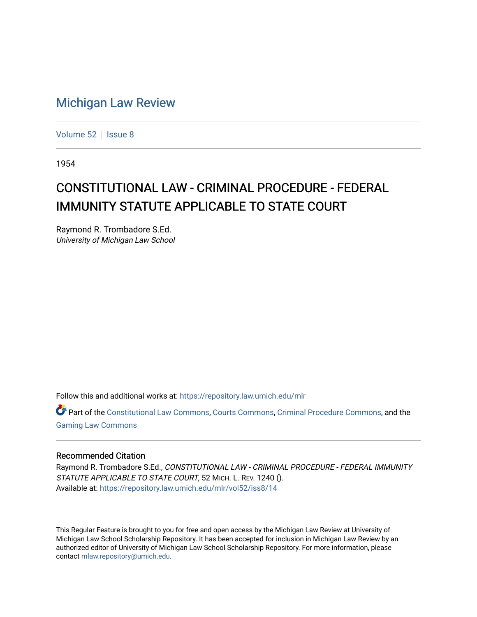## [Michigan Law Review](https://repository.law.umich.edu/mlr)

[Volume 52](https://repository.law.umich.edu/mlr/vol52) | [Issue 8](https://repository.law.umich.edu/mlr/vol52/iss8)

1954

## CONSTITUTIONAL LAW - CRIMINAL PROCEDURE - FEDERAL IMMUNITY STATUTE APPLICABLE TO STATE COURT

Raymond R. Trombadore S.Ed. University of Michigan Law School

Follow this and additional works at: [https://repository.law.umich.edu/mlr](https://repository.law.umich.edu/mlr?utm_source=repository.law.umich.edu%2Fmlr%2Fvol52%2Fiss8%2F14&utm_medium=PDF&utm_campaign=PDFCoverPages) 

Part of the [Constitutional Law Commons,](http://network.bepress.com/hgg/discipline/589?utm_source=repository.law.umich.edu%2Fmlr%2Fvol52%2Fiss8%2F14&utm_medium=PDF&utm_campaign=PDFCoverPages) [Courts Commons,](http://network.bepress.com/hgg/discipline/839?utm_source=repository.law.umich.edu%2Fmlr%2Fvol52%2Fiss8%2F14&utm_medium=PDF&utm_campaign=PDFCoverPages) [Criminal Procedure Commons,](http://network.bepress.com/hgg/discipline/1073?utm_source=repository.law.umich.edu%2Fmlr%2Fvol52%2Fiss8%2F14&utm_medium=PDF&utm_campaign=PDFCoverPages) and the [Gaming Law Commons](http://network.bepress.com/hgg/discipline/1117?utm_source=repository.law.umich.edu%2Fmlr%2Fvol52%2Fiss8%2F14&utm_medium=PDF&utm_campaign=PDFCoverPages) 

## Recommended Citation

Raymond R. Trombadore S.Ed., CONSTITUTIONAL LAW - CRIMINAL PROCEDURE - FEDERAL IMMUNITY STATUTE APPLICABLE TO STATE COURT, 52 MICH. L. REV. 1240 (). Available at: [https://repository.law.umich.edu/mlr/vol52/iss8/14](https://repository.law.umich.edu/mlr/vol52/iss8/14?utm_source=repository.law.umich.edu%2Fmlr%2Fvol52%2Fiss8%2F14&utm_medium=PDF&utm_campaign=PDFCoverPages) 

This Regular Feature is brought to you for free and open access by the Michigan Law Review at University of Michigan Law School Scholarship Repository. It has been accepted for inclusion in Michigan Law Review by an authorized editor of University of Michigan Law School Scholarship Repository. For more information, please contact [mlaw.repository@umich.edu](mailto:mlaw.repository@umich.edu).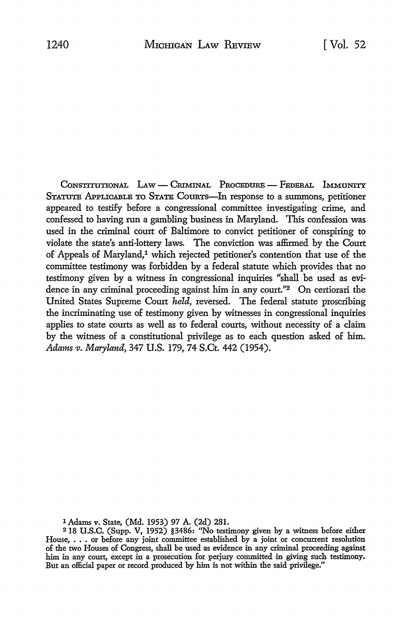CONSTITUTIONAL LAW - CRIMINAL PROCEDURE - FEDERAL IMMUNITY STATUTE APPLICABLE TO STATE CoURTs-ln response *to* a summons, petitioner appeared *to* testify before a congressional committee investigating crime, and confessed to having run a gambling business in Maryland. This confession was used in the criminal court of Baltimore to convict petitioner of conspiring to violate the state's anti-lottery laws. The conviction was affirmed by the Court of Appeals of Maryland,<sup>1</sup> which rejected petitioner's contention that use of the committee testimony was forbidden by a federal statute which provides that no testimony given by a witness in congressional inquiries "shall be used as evidence in any criminal proceeding against him in any court."2 On certiorari the United States Supreme Court *held,* reversed. The federal statute proscribing the incriminating use of testimony given by witnesses in congressional inquiries applies to state courts as well as to federal courts, without necessity of a claim by the witness of a constitutional privilege as to each question asked of him. *Adams-v. Maryland,* 347 U.S. 179, 74 S.Ct. 442 (1954).

1 Adams v. State, (Md. 1953) 97 A. (2d) 281.

<sup>218</sup> U.S.C. (Supp. V, 1952) §3486: ''No testimony given by a witness before either House, • • • or before any joint committee established by a joint or concurrent resolution of the two Houses of Congress, shall be used as evidence in any criminal proceeding against him in any court, except in a prosecution for perjury committed in giving such testimony. But an official paper or record produced by him is not within the said privilege."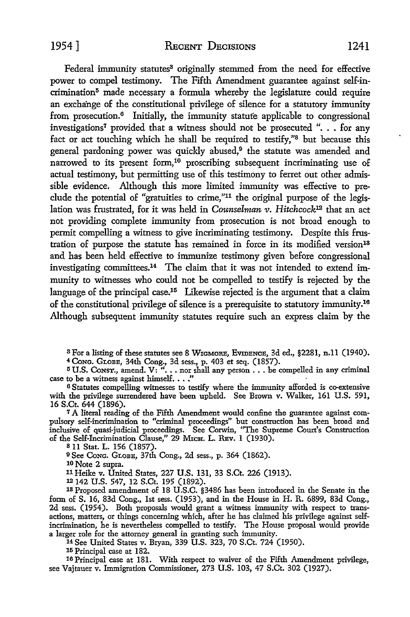Federal immunity statutes<sup>3</sup> originally stemmed from the need for effective power to compel testimony. The Fifth Amendment guarantee against self-incrimination<sup>5</sup> made necessary a formula whereby the legislature could require an exchange of the constitutional privilege of silence for a statutory immunity from prosecution.6 Initially, the immunity statufe applicable to congressional investigations<sup>7</sup>provided that a witness should not be prosecuted ". . . for any fact or act touching which he shall be required to testify,"8 but because this general pardoning power was quickly abused, $9$  the statute was amended and narrowed to its present form,<sup>10</sup> proscribing subsequent incriminating use of actual testimony, but permitting use of this testimony to ferret out other admissible evidence. Although this more limited immunity was effective to preclude the potential of "gratuities to crime,"11 the original purpose of the legislation was frustrated, for it was held in *Counselman v. Hitchcock*<sup>12</sup> that an act not providing complete immunity from prosecution is not broad enough *to*  permit compelling a witness to give incriminating testimony. Despite this frustration of purpose the statute has remained in force in its modified version<sup>18</sup> and has been held effective to immunize testimony given before congressional investigating committees.14 The claim that it was not intended to extend immunity to witnesses who could not be compelled to testify is rejected by the language of the principal case.<sup>15</sup> Likewise rejected is the argument that a claim of the constitutional privilege of silence is a prerequisite to statutory immunity.<sup>16</sup> Although subsequent immunity statutes require such an express claim by the

<sup>3</sup> For a listing of these statutes see 8 WIGMORE, EVIDENCE, 3d ed., §2281, n.11 (1940).<br><sup>4</sup> Cong. GLOBE, 34th Cong., 3d sess., p. 403 et seq. (1857).

 $5 \text{ U.S.}$  Const., amend. V: " $\ldots$  nor shall any person  $\ldots$  be compelled in any criminal  $5 \text{ U.S.}$  Const., amend. V: " $\ldots$  nor shall any person  $\ldots$  be compelled in any criminal case to be a witness against himself.  $\ldots$ ."

6 Statutes compelling witnesses to testify where the immunity afforded is co-extensive with the privilege surrendered have been upheld. See Brown v. Walker, 161 U.S. 591, 16 S.Ct. 644 (1896).

7 A literal reading of the Fifth Amendment would confine the guarantee against compulsory self-incrimination to "criminal proceedings" but construction has been broad and inclusive of quasi-judicial proceedings. See Corwin, "The Supreme Court's Construction of the Self-Incrimination Clause," 29 MICH. L. REV. 1 (1930).

s 11 Stat. L. 156 (1857).

<sup>9</sup>See CoNG. GLOBE, 37th Cong., 2d sess., p. 364 (1862).

10 Note 2 supra.

11Heike v. United States, 227 U.S. 131, 33 S.Ct. 226 (1913).

12 142 U.S. 547, 12 S.Ct. 195 (1892).

18 Proposed amendment of 18 U.S.C. §3486 has been introduced in the Senate in the form of S. 16, 83d Cong., 1st sess. (1953), and in the House in H. R. 6899, 83d Cong., 2d sess. (1954). Both proposals would grant a witness immunity with respect to transactions, matters, or things concerning which, after he has claimed his privilege against selfincrimination, he is nevertheless compelled to testify. The House proposal would provide a larger role for the attorney general in granting such immunity.

14 See United States v. Bryan, 339 U.S. 323, 70 S.Ct. 724 (1950).

15 Principal case at 182.

16 Principal case at 181. With respect to waiver of the Fifth Amendment privilege, see Vajtauer v. Immigration Commissioner, 273 U.S. 103, 47 S.Ct. 302 (1927).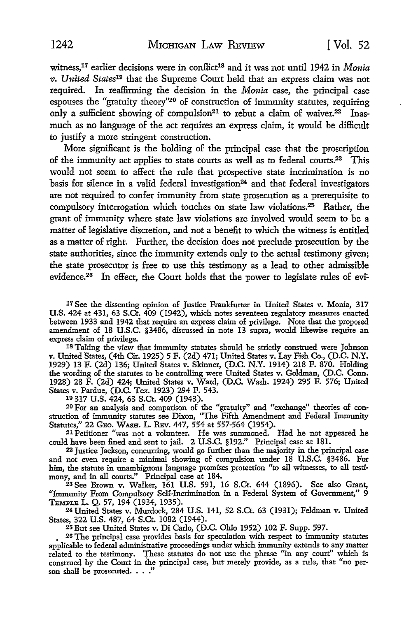witness,<sup>17</sup> earlier decisions were in conflict<sup>18</sup> and it was not until 1942 in *Monia v. United States19* that the Supreme Court held that an express claim was not required. In reaffirming the decision in the *Monia* case, the principal case espouses the "gratuity theory"20 of construction of immunity statutes, requiring only a sufficient showing of compulsion<sup>21</sup> to rebut a claim of waiver.<sup>22</sup> Inasmuch as no language of the act requires an express claim, it would be difficult to justify a more stringent construction.

More significant is the holding of the principal case that the proscription of the immunity act applies to state courts as well as to federal courts.23 This would not seem to affect the rule that prospective state incrimination is no basis for silence in a valid federal investigation<sup>24</sup> and that federal investigators are not required to confer immunity from state prosecution as a prerequisite to compulsory interrogation which touches on state law violations. $25$  Rather, the grant of immunity where state law violations are involved would seem to be a matter of legislative discretion, and not a benefit to which the witness is entitled as a matter of right. Further, the decision does not preclude prosecution by the state authorities, since the immunity extends only to the actual testimony given; the state prosecutor is free to use this testimony as a lead to other admissible evidence.<sup>26</sup> In effect, the Court holds that the power to legislate rules of evi-

17 See the dissenting opinion of Justice Frankfurter in United States v. Monia, 317 U.S. 424 at 431, 63 S.Ct. 409 (1942), which notes seventeen regulatory measures enacted between 1933 and 1942 that require an express claim of privilege. Note that the proposed amendment of 18 U.S.C. §3486, discussed in note 13 supra, would likewise require an express claim of privilege.

18 Taking the view that immunity statutes should be strictly construed were Johnson v. United States, (4th Cir. 1925) 5 F. (2d) 471; United States v. Lay Fish Co., (D.C. N.Y. 1929) 13 F. (2d) 136; United States v. Skinner, (D.C. N.Y. 1914) 218 F. 870. Holding the wording of the statutes to be controlling were United States v. Goldman, (D.C. Conn. 1928) 28 F. (2d) 424; United States v. Ward, (D.C. Wash. 1924) 295 F. 576; United States v. Pardue, (D.C. Tex. 1923) 294 F. 543. 10 317 U.S. 424, 63 S.Ct. 409 (1943).

20 For an analysis and comparison of the "gratuity'' and "exchange" theories of construction of immunity statutes see Dixon, "The Fifth Amendment and Federal Immunity Statutes," 22 GEO. WASH. L. REV. 447, 554 at 557-564 (1954).

21 Petitioner "was not a volunteer. He was summoned. Had he not appeared he could have been fined and sent to jail. 2 U.S.C. §192." Principal case at 181.

22 Justice Jackson, concurring, would go further than the majority in the principal case and not even require a minimal showing of compulsion under 18 U.S.C. §3486. For him, the statute in unambiguous language promises protection "to all witnesses, to all testimony, and in all courts." Principal case at 184.

23 See Brown v. Walker, 161 U.S. 591, 16 S.Ct. 644 (1896). See also Grant, "Immunity From Compulsory Self-Incrimination in a Federal System of Government," 9 Temple L. Q. 57, 194 (1934, 1935).

24 United States v. Murdock, 284 U.S. 141, 52 S.Ct. 63 (1931); Feldman v. United States, 322 U.S. 487, 64 S.Ct. 1082 (1944). 25 But see United States v. Di Carlo, (D.C. Ohio 1952) 102 F. Supp. 597.

26 The principal case provides basis for speculation with respect to immunity statutes applicable to federal administrative proceedings under which immunity extends to any matter related to the testimony. These statutes do not use the phrase "in any court" which is construed by the Court in the principal case, but merely provide, as a rule, that "no person shall be prosecuted. . . ."